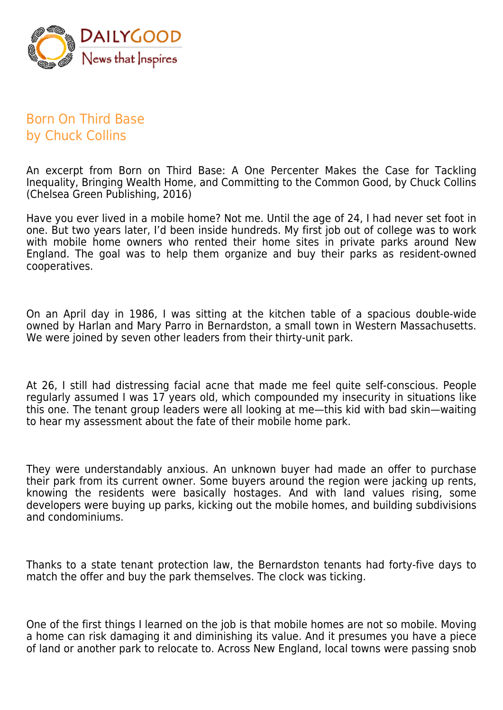

## Born On Third Base by Chuck Collins

An excerpt from Born on Third Base: A One Percenter Makes the Case for Tackling Inequality, Bringing Wealth Home, and Committing to the Common Good, by Chuck Collins (Chelsea Green Publishing, 2016)

Have you ever lived in a mobile home? Not me. Until the age of 24, I had never set foot in one. But two years later, I'd been inside hundreds. My first job out of college was to work with mobile home owners who rented their home sites in private parks around New England. The goal was to help them organize and buy their parks as resident-owned cooperatives.

On an April day in 1986, I was sitting at the kitchen table of a spacious double-wide owned by Harlan and Mary Parro in Bernardston, a small town in Western Massachusetts. We were joined by seven other leaders from their thirty-unit park.

At 26, I still had distressing facial acne that made me feel quite self-conscious. People regularly assumed I was 17 years old, which compounded my insecurity in situations like this one. The tenant group leaders were all looking at me—this kid with bad skin—waiting to hear my assessment about the fate of their mobile home park.

They were understandably anxious. An unknown buyer had made an offer to purchase their park from its current owner. Some buyers around the region were jacking up rents, knowing the residents were basically hostages. And with land values rising, some developers were buying up parks, kicking out the mobile homes, and building subdivisions and condominiums.

Thanks to a state tenant protection law, the Bernardston tenants had forty-five days to match the offer and buy the park themselves. The clock was ticking.

One of the first things I learned on the job is that mobile homes are not so mobile. Moving a home can risk damaging it and diminishing its value. And it presumes you have a piece of land or another park to relocate to. Across New England, local towns were passing snob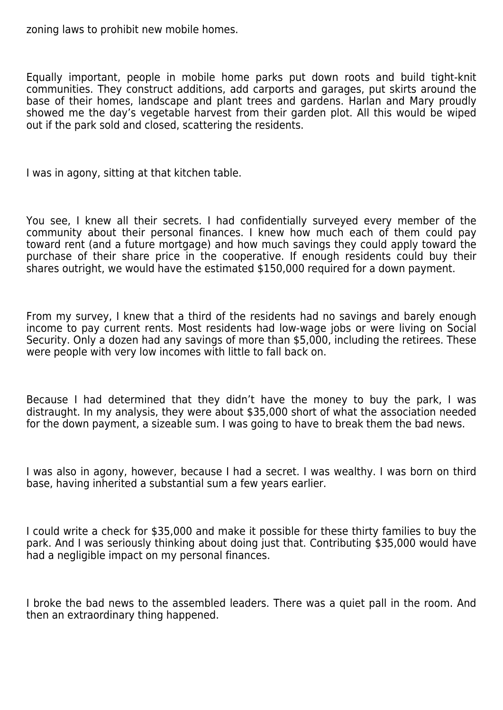zoning laws to prohibit new mobile homes.

Equally important, people in mobile home parks put down roots and build tight-knit communities. They construct additions, add carports and garages, put skirts around the base of their homes, landscape and plant trees and gardens. Harlan and Mary proudly showed me the day's vegetable harvest from their garden plot. All this would be wiped out if the park sold and closed, scattering the residents.

I was in agony, sitting at that kitchen table.

You see, I knew all their secrets. I had confidentially surveyed every member of the community about their personal finances. I knew how much each of them could pay toward rent (and a future mortgage) and how much savings they could apply toward the purchase of their share price in the cooperative. If enough residents could buy their shares outright, we would have the estimated \$150,000 required for a down payment.

From my survey, I knew that a third of the residents had no savings and barely enough income to pay current rents. Most residents had low-wage jobs or were living on Social Security. Only a dozen had any savings of more than \$5,000, including the retirees. These were people with very low incomes with little to fall back on.

Because I had determined that they didn't have the money to buy the park, I was distraught. In my analysis, they were about \$35,000 short of what the association needed for the down payment, a sizeable sum. I was going to have to break them the bad news.

I was also in agony, however, because I had a secret. I was wealthy. I was born on third base, having inherited a substantial sum a few years earlier.

I could write a check for \$35,000 and make it possible for these thirty families to buy the park. And I was seriously thinking about doing just that. Contributing \$35,000 would have had a negligible impact on my personal finances.

I broke the bad news to the assembled leaders. There was a quiet pall in the room. And then an extraordinary thing happened.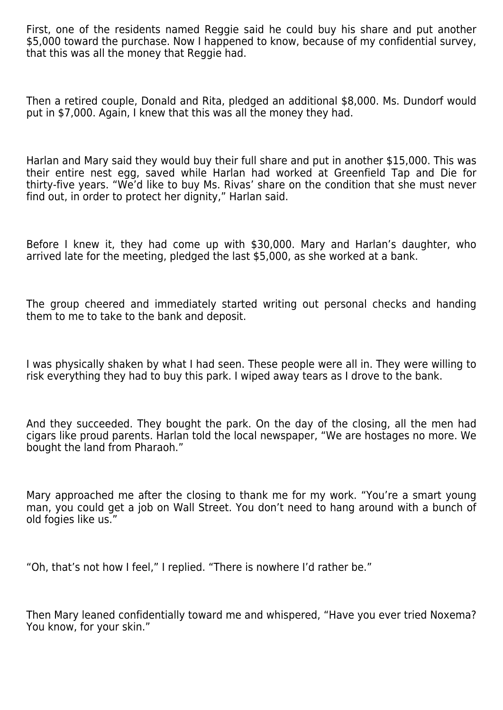First, one of the residents named Reggie said he could buy his share and put another \$5,000 toward the purchase. Now I happened to know, because of my confidential survey, that this was all the money that Reggie had.

Then a retired couple, Donald and Rita, pledged an additional \$8,000. Ms. Dundorf would put in \$7,000. Again, I knew that this was all the money they had.

Harlan and Mary said they would buy their full share and put in another \$15,000. This was their entire nest egg, saved while Harlan had worked at Greenfield Tap and Die for thirty-five years. "We'd like to buy Ms. Rivas' share on the condition that she must never find out, in order to protect her dignity," Harlan said.

Before I knew it, they had come up with \$30,000. Mary and Harlan's daughter, who arrived late for the meeting, pledged the last \$5,000, as she worked at a bank.

The group cheered and immediately started writing out personal checks and handing them to me to take to the bank and deposit.

I was physically shaken by what I had seen. These people were all in. They were willing to risk everything they had to buy this park. I wiped away tears as I drove to the bank.

And they succeeded. They bought the park. On the day of the closing, all the men had cigars like proud parents. Harlan told the local newspaper, "We are hostages no more. We bought the land from Pharaoh."

Mary approached me after the closing to thank me for my work. "You're a smart young man, you could get a job on Wall Street. You don't need to hang around with a bunch of old fogies like us."

"Oh, that's not how I feel," I replied. "There is nowhere I'd rather be."

Then Mary leaned confidentially toward me and whispered, "Have you ever tried Noxema? You know, for your skin."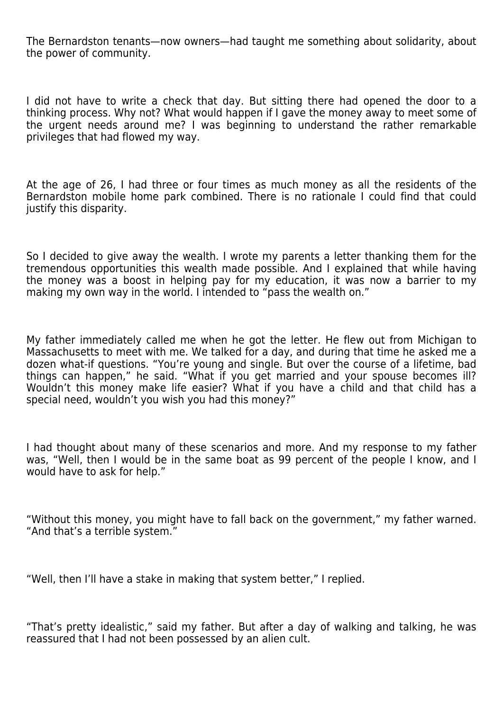The Bernardston tenants—now owners—had taught me something about solidarity, about the power of community.

I did not have to write a check that day. But sitting there had opened the door to a thinking process. Why not? What would happen if I gave the money away to meet some of the urgent needs around me? I was beginning to understand the rather remarkable privileges that had flowed my way.

At the age of 26, I had three or four times as much money as all the residents of the Bernardston mobile home park combined. There is no rationale I could find that could justify this disparity.

So I decided to give away the wealth. I wrote my parents a letter thanking them for the tremendous opportunities this wealth made possible. And I explained that while having the money was a boost in helping pay for my education, it was now a barrier to my making my own way in the world. I intended to "pass the wealth on."

My father immediately called me when he got the letter. He flew out from Michigan to Massachusetts to meet with me. We talked for a day, and during that time he asked me a dozen what-if questions. "You're young and single. But over the course of a lifetime, bad things can happen," he said. "What if you get married and your spouse becomes ill? Wouldn't this money make life easier? What if you have a child and that child has a special need, wouldn't you wish you had this money?"

I had thought about many of these scenarios and more. And my response to my father was, "Well, then I would be in the same boat as 99 percent of the people I know, and I would have to ask for help."

"Without this money, you might have to fall back on the government," my father warned. "And that's a terrible system."

"Well, then I'll have a stake in making that system better," I replied.

"That's pretty idealistic," said my father. But after a day of walking and talking, he was reassured that I had not been possessed by an alien cult.